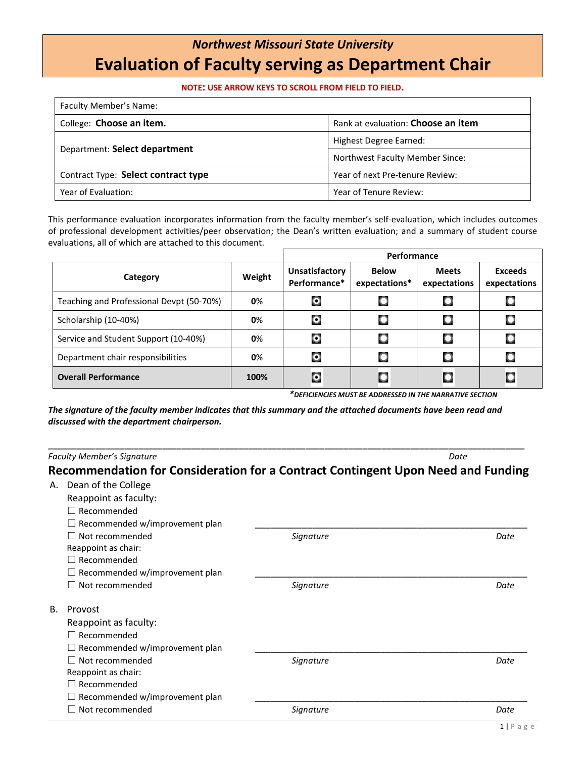## *Northwest Missouri State University* **Evaluation of Faculty serving as Department Chair**

## **NOTE: USE ARROW KEYS TO SCROLL FROM FIELD TO FIELD.**

| Faculty Member's Name:              |                                        |  |  |  |
|-------------------------------------|----------------------------------------|--|--|--|
| College: Choose an item.            | Rank at evaluation: Choose an item     |  |  |  |
|                                     | Highest Degree Earned:                 |  |  |  |
| Department: Select department       | <b>Northwest Faculty Member Since:</b> |  |  |  |
| Contract Type: Select contract type | Year of next Pre-tenure Review:        |  |  |  |
| Year of Evaluation:                 | Year of Tenure Review:                 |  |  |  |

This performance evaluation incorporates information from the faculty member's self-evaluation, which includes outcomes of professional development activities/peer observation; the Dean's written evaluation; and a summary of student course evaluations, all of which are attached to this document.

|                                          |        | Performance                           |                               |                              |                                |
|------------------------------------------|--------|---------------------------------------|-------------------------------|------------------------------|--------------------------------|
| Category                                 | Weight | <b>Unsatisfactory</b><br>Performance* | <b>Below</b><br>expectations* | <b>Meets</b><br>expectations | <b>Exceeds</b><br>expectations |
| Teaching and Professional Devpt (50-70%) | 0%     | О                                     |                               |                              |                                |
| Scholarship (10-40%)                     | 0%     | O                                     | с                             |                              |                                |
| Service and Student Support (10-40%)     | 0%     | O                                     | С                             |                              |                                |
| Department chair responsibilities        | 0%     | O                                     |                               |                              |                                |
| <b>Overall Performance</b>               | 100%   | O                                     | C                             |                              | C                              |

*\*DEFICIENCIES MUST BE ADDRESSED IN THE NARRATIVE SECTION* 

*The signature of the faculty member indicates that this summary and the attached documents have been read and discussed with the department chairperson.*

**\_\_\_\_\_\_\_\_\_\_\_\_\_\_\_\_\_\_\_\_\_\_\_\_\_\_\_\_\_\_\_\_\_\_\_\_\_\_\_\_\_\_\_\_\_\_\_\_\_\_\_\_\_\_\_\_\_\_\_\_\_\_\_\_\_\_\_\_\_\_\_\_\_\_\_\_\_\_\_\_\_\_\_\_\_\_\_\_\_\_\_\_\_\_\_\_\_\_\_\_** *Faculty Member's Signature Date* **Recommendation for Consideration for a Contract Contingent Upon Need and Funding** A. Dean of the College Reappoint as faculty: ☐ Recommended  $\Box$  Recommended w/improvement plan ☐ Not recommended *Signature Date* Reappoint as chair: ☐ Recommended  $\Box$  Recommended w/improvement plan ☐ Not recommended *Signature Date* B. Provost Reappoint as faculty: ☐ Recommended  $\Box$  Recommended w/improvement plan ☐ Not recommended *Signature Date* Reappoint as chair: ☐ Recommended  $\Box$  Recommended w/improvement plan ☐ Not recommended *Signature Date*